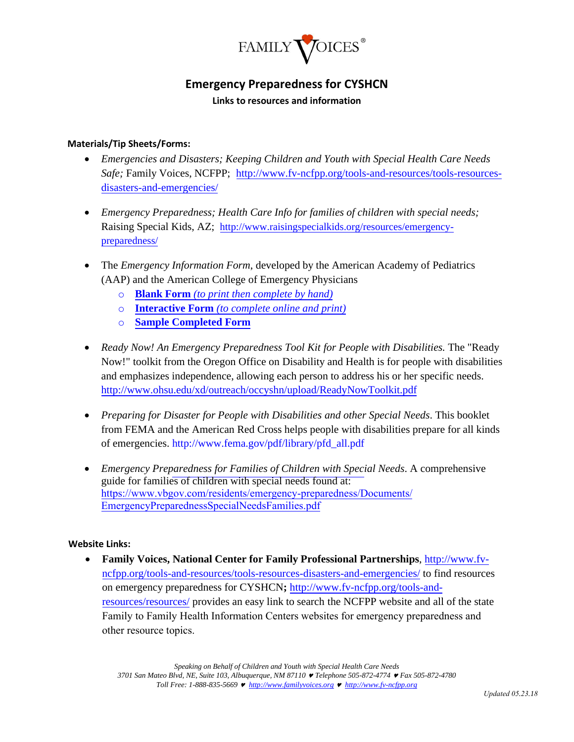

## **Emergency Preparedness for CYSHCN**

**Links to resources and information** 

## **Materials/Tip Sheets/Forms:**

- *Emergencies and Disasters; Keeping Children and Youth with Special Health Care Needs Safe;* Family Voices, NCFPP; [http://www.fv-ncfpp.org/tools-and-resources/tools-resources](http://www.fv-ncfpp.org/tools-and-resources/tools-resources-disasters-and-emergencies/)[disasters-and-emergencies/](http://www.fv-ncfpp.org/tools-and-resources/tools-resources-disasters-and-emergencies/)
- *Emergency Preparedness; Health Care Info for families of children with special needs;* Raising Special Kids, AZ; [http://www.raisingspecialkids.org/resources/emergency](http://www.raisingspecialkids.org/resources/emergency-preparedness/)[preparedness/](http://www.raisingspecialkids.org/resources/emergency-preparedness/)
- The *Emergency Information Form*, developed by the American Academy of Pediatrics (AAP) and the American College of Emergency Physicians
	- o **Blank Form** *[\(to print then complete by hand\)](https://www.acep.org/globalassets/uploads/uploaded-files/acep/clinical-and-practice-management/resources/pediatrics/medical-forms/eifspecialneeds.pdf)*
	- o **Interactive Form** *[\(to complete online and p](http://www.aap.org/advocacy/blankform.pdf)[rint\)](https://www.acep.org/globalassets/uploads/uploaded-files/acep/clinical-and-practice-management/resources/pediatrics/medical-forms/blank-interactive-emergency-information-form.doc)*
	- o **[Sample Completed Form](https://www.acep.org/globalassets/uploads/uploaded-files/acep/clinical-and-practice-management/resources/pediatrics/medical-forms/eifsample.pdf)**
- *Ready [Now! An Emergency Prepar](http://www.aap.org/advocacy/eif.doc)[edness Tool Kit for People with Disabilities.](http://www.aap.org/advocacy/sampleform.pdf)* The "Ready Now!" toolkit from the Oregon Office on Disability and Health is for people with disabilities and emphasizes independence, allowing each person to address his or her specific needs. http://www.ohsu.edu/xd/outreach/occyshn/upload/ReadyNowToolkit.pdf
- [Preparing for Disaster for People with Disabilities and other Special Nee](http://www.ohsu.edu/xd/outreach/occyshn/upload/ReadyNowToolkit.pdf)ds. This booklet from FEMA and the American Red Cross helps people with disabilities prepare for all kinds [of emergencies. http://www.fema.gov/pdf/library/pfd\\_all.pdf](http://www.fema.gov/pdf/library/pfd_all.pdf)
- *Emergency Pre[paredness for Families of Children with Speci](http://www.fema.gov/pdf/library/pfd_all.pdf)al Needs*. A comprehensive guide for families of children with special needs found at: https://www.vbgov.com/residents/emergency-preparedness/Documents/ EmergencyPreparednessSpecialNeedsFamilies.pdf

## **[Website Links:](http://www.vbgov.com/residents/emergency-%20preparedness/Documents/EmergencyPreparednessSpecialNeedsFamilies.pdf)**

 **Family Voices, National Center for Family Professional Partnerships**, http://www.fvncfpp.org/tools-and-resources/tools-resources-disasters-and-emergencies/ [to find resources](http://www.fv-ncfpp.org/tools-and-resources/tools-resources-disasters-and-emergencies/) [on emergency preparedness for CYSHCN](http://www.fv-ncfpp.org/tools-and-resources/tools-resources-disasters-and-emergencies/)**;** http://www.fv-ncfpp.org/tools-andresources/resources/ provides an easy link [to search the NCFPP website and all of the state](http://www.fv-ncfpp.org/tools-and-resources/resources/) [Family to Family He](http://www.fv-ncfpp.org/tools-and-resources/resources/)alth Information Centers websites for emergency preparedness and other resource topics.